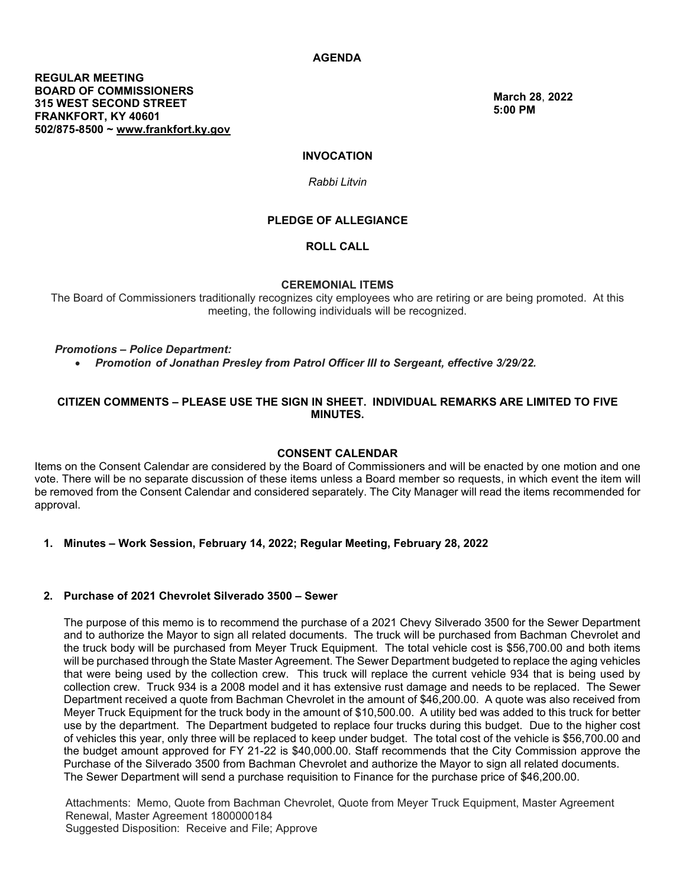**March 28**, **[2022](http://www.frankfort.ky.gov/) [5:00 PM](http://www.frankfort.ky.gov/)**

# **INVOCATION**

## *Rabbi Litvin*

## **PLEDGE OF ALLEGIANCE**

**ROLL CALL**

### **CEREMONIAL ITEMS**

The Board of Commissioners traditionally recognizes city employees who are retiring or are being promoted. At this meeting, the following individuals will be recognized.

### *Promotions – Police Department:*

• *Promotion of Jonathan Presley from Patrol Officer III to Sergeant, effective 3/29/22.* 

## **CITIZEN COMMENTS – PLEASE USE THE SIGN IN SHEET. INDIVIDUAL REMARKS ARE LIMITED TO FIVE MINUTES.**

#### **CONSENT CALENDAR**

Items on the Consent Calendar are considered by the Board of Commissioners and will be enacted by one motion and one vote. There will be no separate discussion of these items unless a Board member so requests, in which event the item will be removed from the Consent Calendar and considered separately. The City Manager will read the items recommended for approval.

## **1. Minutes – Work Session, February 14, 2022; Regular Meeting, February 28, 2022**

#### **2. Purchase of 2021 Chevrolet Silverado 3500 – Sewer**

The purpose of this memo is to recommend the purchase of a 2021 Chevy Silverado 3500 for the Sewer Department and to authorize the Mayor to sign all related documents. The truck will be purchased from Bachman Chevrolet and the truck body will be purchased from Meyer Truck Equipment. The total vehicle cost is \$56,700.00 and both items will be purchased through the State Master Agreement. The Sewer Department budgeted to replace the aging vehicles that were being used by the collection crew. This truck will replace the current vehicle 934 that is being used by collection crew. Truck 934 is a 2008 model and it has extensive rust damage and needs to be replaced. The Sewer Department received a quote from Bachman Chevrolet in the amount of \$46,200.00. A quote was also received from Meyer Truck Equipment for the truck body in the amount of \$10,500.00. A utility bed was added to this truck for better use by the department. The Department budgeted to replace four trucks during this budget. Due to the higher cost of vehicles this year, only three will be replaced to keep under budget. The total cost of the vehicle is \$56,700.00 and the budget amount approved for FY 21-22 is \$40,000.00. Staff recommends that the City Commission approve the Purchase of the Silverado 3500 from Bachman Chevrolet and authorize the Mayor to sign all related documents. The Sewer Department will send a purchase requisition to Finance for the purchase price of \$46,200.00.

Attachments: Memo, Quote from Bachman Chevrolet, Quote from Meyer Truck Equipment, Master Agreement Renewal, Master Agreement 1800000184 Suggested Disposition: Receive and File; Approve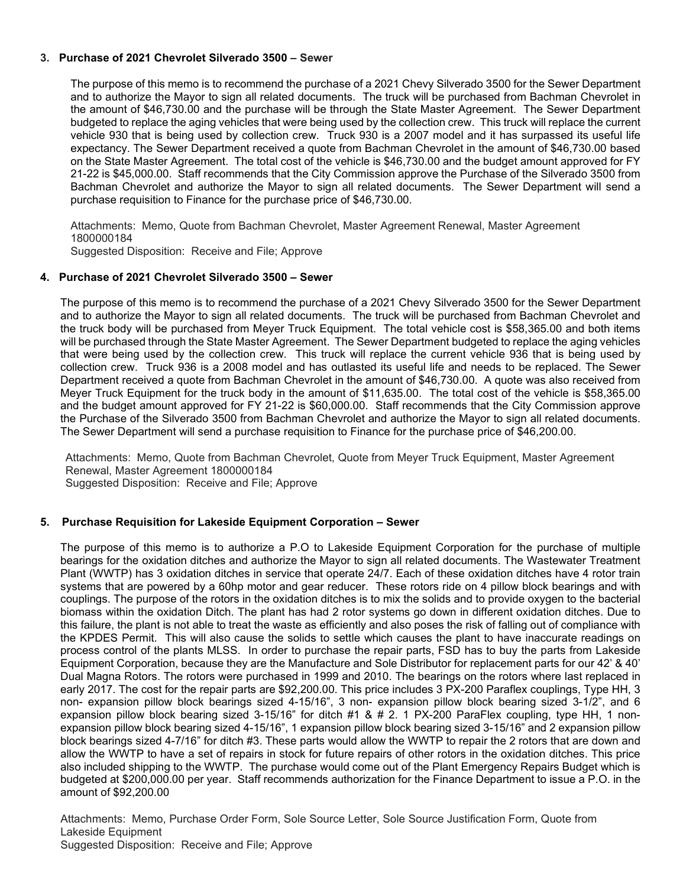# **3. Purchase of 2021 Chevrolet Silverado 3500 – Sewer**

The purpose of this memo is to recommend the purchase of a 2021 Chevy Silverado 3500 for the Sewer Department and to authorize the Mayor to sign all related documents. The truck will be purchased from Bachman Chevrolet in the amount of \$46,730.00 and the purchase will be through the State Master Agreement. The Sewer Department budgeted to replace the aging vehicles that were being used by the collection crew. This truck will replace the current vehicle 930 that is being used by collection crew. Truck 930 is a 2007 model and it has surpassed its useful life expectancy. The Sewer Department received a quote from Bachman Chevrolet in the amount of \$46,730.00 based on the State Master Agreement. The total cost of the vehicle is \$46,730.00 and the budget amount approved for FY 21-22 is \$45,000.00. Staff recommends that the City Commission approve the Purchase of the Silverado 3500 from Bachman Chevrolet and authorize the Mayor to sign all related documents. The Sewer Department will send a purchase requisition to Finance for the purchase price of \$46,730.00.

Attachments: Memo, Quote from Bachman Chevrolet, Master Agreement Renewal, Master Agreement 1800000184

Suggested Disposition: Receive and File; Approve

# **4. Purchase of 2021 Chevrolet Silverado 3500 – Sewer**

The purpose of this memo is to recommend the purchase of a 2021 Chevy Silverado 3500 for the Sewer Department and to authorize the Mayor to sign all related documents. The truck will be purchased from Bachman Chevrolet and the truck body will be purchased from Meyer Truck Equipment. The total vehicle cost is \$58,365.00 and both items will be purchased through the State Master Agreement. The Sewer Department budgeted to replace the aging vehicles that were being used by the collection crew. This truck will replace the current vehicle 936 that is being used by collection crew. Truck 936 is a 2008 model and has outlasted its useful life and needs to be replaced. The Sewer Department received a quote from Bachman Chevrolet in the amount of \$46,730.00. A quote was also received from Meyer Truck Equipment for the truck body in the amount of \$11,635.00. The total cost of the vehicle is \$58,365.00 and the budget amount approved for FY 21-22 is \$60,000.00. Staff recommends that the City Commission approve the Purchase of the Silverado 3500 from Bachman Chevrolet and authorize the Mayor to sign all related documents. The Sewer Department will send a purchase requisition to Finance for the purchase price of \$46,200.00.

Attachments: Memo, Quote from Bachman Chevrolet, Quote from Meyer Truck Equipment, Master Agreement Renewal, Master Agreement 1800000184 Suggested Disposition: Receive and File; Approve

# **5. Purchase Requisition for Lakeside Equipment Corporation – Sewer**

The purpose of this memo is to authorize a P.O to Lakeside Equipment Corporation for the purchase of multiple bearings for the oxidation ditches and authorize the Mayor to sign all related documents. The Wastewater Treatment Plant (WWTP) has 3 oxidation ditches in service that operate 24/7. Each of these oxidation ditches have 4 rotor train systems that are powered by a 60hp motor and gear reducer. These rotors ride on 4 pillow block bearings and with couplings. The purpose of the rotors in the oxidation ditches is to mix the solids and to provide oxygen to the bacterial biomass within the oxidation Ditch. The plant has had 2 rotor systems go down in different oxidation ditches. Due to this failure, the plant is not able to treat the waste as efficiently and also poses the risk of falling out of compliance with the KPDES Permit. This will also cause the solids to settle which causes the plant to have inaccurate readings on process control of the plants MLSS. In order to purchase the repair parts, FSD has to buy the parts from Lakeside Equipment Corporation, because they are the Manufacture and Sole Distributor for replacement parts for our 42' & 40' Dual Magna Rotors. The rotors were purchased in 1999 and 2010. The bearings on the rotors where last replaced in early 2017. The cost for the repair parts are \$92,200.00. This price includes 3 PX-200 Paraflex couplings, Type HH, 3 non- expansion pillow block bearings sized 4-15/16", 3 non- expansion pillow block bearing sized 3-1/2", and 6 expansion pillow block bearing sized 3-15/16" for ditch #1 & # 2. 1 PX-200 ParaFlex coupling, type HH, 1 nonexpansion pillow block bearing sized 4-15/16", 1 expansion pillow block bearing sized 3-15/16" and 2 expansion pillow block bearings sized 4-7/16" for ditch #3. These parts would allow the WWTP to repair the 2 rotors that are down and allow the WWTP to have a set of repairs in stock for future repairs of other rotors in the oxidation ditches. This price also included shipping to the WWTP. The purchase would come out of the Plant Emergency Repairs Budget which is budgeted at \$200,000.00 per year. Staff recommends authorization for the Finance Department to issue a P.O. in the amount of \$92,200.00

Attachments: Memo, Purchase Order Form, Sole Source Letter, Sole Source Justification Form, Quote from Lakeside Equipment Suggested Disposition: Receive and File; Approve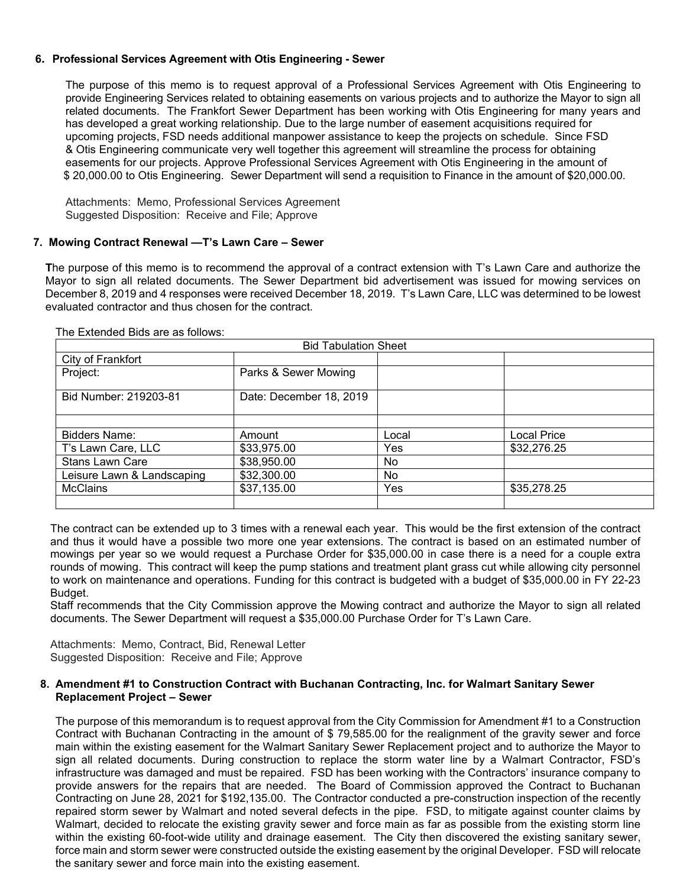# **6. Professional Services Agreement with Otis Engineering - Sewer**

The purpose of this memo is to request approval of a Professional Services Agreement with Otis Engineering to provide Engineering Services related to obtaining easements on various projects and to authorize the Mayor to sign all related documents. The Frankfort Sewer Department has been working with Otis Engineering for many years and has developed a great working relationship. Due to the large number of easement acquisitions required for upcoming projects, FSD needs additional manpower assistance to keep the projects on schedule. Since FSD & Otis Engineering communicate very well together this agreement will streamline the process for obtaining easements for our projects. Approve Professional Services Agreement with Otis Engineering in the amount of \$ 20,000.00 to Otis Engineering. Sewer Department will send a requisition to Finance in the amount of \$20,000.00.

Attachments: Memo, Professional Services Agreement Suggested Disposition: Receive and File; Approve

## **7. Mowing Contract Renewal —T's Lawn Care – Sewer**

**T**he purpose of this memo is to recommend the approval of a contract extension with T's Lawn Care and authorize the Mayor to sign all related documents. The Sewer Department bid advertisement was issued for mowing services on December 8, 2019 and 4 responses were received December 18, 2019. T's Lawn Care, LLC was determined to be lowest evaluated contractor and thus chosen for the contract.

| <b>Bid Tabulation Sheet</b>    |                         |       |             |  |
|--------------------------------|-------------------------|-------|-------------|--|
| City of Frankfort              |                         |       |             |  |
| Project:                       | Parks & Sewer Mowing    |       |             |  |
| Bid Number: 219203-81          | Date: December 18, 2019 |       |             |  |
|                                |                         |       |             |  |
| <b>Bidders Name:</b><br>Amount |                         | Local | Local Price |  |
| T's Lawn Care, LLC             | \$33,975.00             |       | \$32,276.25 |  |
| <b>Stans Lawn Care</b>         | \$38,950.00             |       |             |  |
| Leisure Lawn & Landscaping     | \$32,300.00             | No.   |             |  |
| <b>McClains</b>                | \$37,135.00             |       | \$35,278.25 |  |
|                                |                         |       |             |  |

#### The Extended Bids are as follows:

The contract can be extended up to 3 times with a renewal each year. This would be the first extension of the contract and thus it would have a possible two more one year extensions. The contract is based on an estimated number of mowings per year so we would request a Purchase Order for \$35,000.00 in case there is a need for a couple extra rounds of mowing. This contract will keep the pump stations and treatment plant grass cut while allowing city personnel to work on maintenance and operations. Funding for this contract is budgeted with a budget of \$35,000.00 in FY 22-23 Budget.

Staff recommends that the City Commission approve the Mowing contract and authorize the Mayor to sign all related documents. The Sewer Department will request a \$35,000.00 Purchase Order for T's Lawn Care.

Attachments: Memo, Contract, Bid, Renewal Letter Suggested Disposition: Receive and File; Approve

# **8. Amendment #1 to Construction Contract with Buchanan Contracting, Inc. for Walmart Sanitary Sewer Replacement Project – Sewer**

The purpose of this memorandum is to request approval from the City Commission for Amendment #1 to a Construction Contract with Buchanan Contracting in the amount of \$ 79,585.00 for the realignment of the gravity sewer and force main within the existing easement for the Walmart Sanitary Sewer Replacement project and to authorize the Mayor to sign all related documents. During construction to replace the storm water line by a Walmart Contractor, FSD's infrastructure was damaged and must be repaired. FSD has been working with the Contractors' insurance company to provide answers for the repairs that are needed. The Board of Commission approved the Contract to Buchanan Contracting on June 28, 2021 for \$192,135.00. The Contractor conducted a pre-construction inspection of the recently repaired storm sewer by Walmart and noted several defects in the pipe. FSD, to mitigate against counter claims by Walmart, decided to relocate the existing gravity sewer and force main as far as possible from the existing storm line within the existing 60-foot-wide utility and drainage easement. The City then discovered the existing sanitary sewer, force main and storm sewer were constructed outside the existing easement by the original Developer. FSD will relocate the sanitary sewer and force main into the existing easement.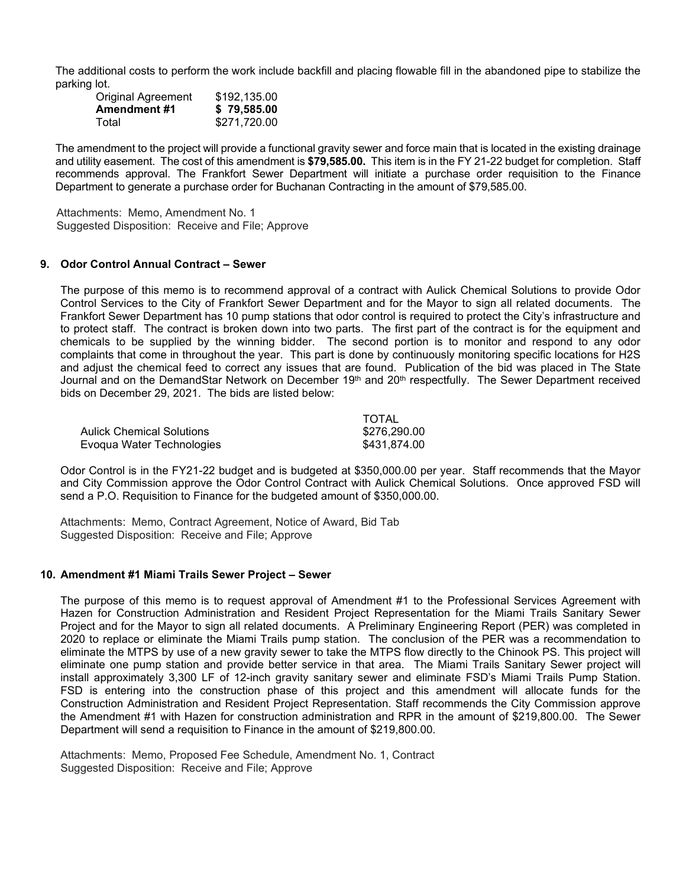The additional costs to perform the work include backfill and placing flowable fill in the abandoned pipe to stabilize the parking lot.

| <b>Original Agreement</b> | \$192,135.00 |
|---------------------------|--------------|
| <b>Amendment #1</b>       | \$79,585.00  |
| Total                     | \$271,720.00 |

The amendment to the project will provide a functional gravity sewer and force main that is located in the existing drainage and utility easement. The cost of this amendment is **\$79,585.00.** This item is in the FY 21-22 budget for completion. Staff recommends approval. The Frankfort Sewer Department will initiate a purchase order requisition to the Finance Department to generate a purchase order for Buchanan Contracting in the amount of \$79,585.00.

 Attachments: Memo, Amendment No. 1 Suggested Disposition: Receive and File; Approve

### **9. Odor Control Annual Contract – Sewer**

The purpose of this memo is to recommend approval of a contract with Aulick Chemical Solutions to provide Odor Control Services to the City of Frankfort Sewer Department and for the Mayor to sign all related documents. The Frankfort Sewer Department has 10 pump stations that odor control is required to protect the City's infrastructure and to protect staff. The contract is broken down into two parts. The first part of the contract is for the equipment and chemicals to be supplied by the winning bidder. The second portion is to monitor and respond to any odor complaints that come in throughout the year. This part is done by continuously monitoring specific locations for H2S and adjust the chemical feed to correct any issues that are found. Publication of the bid was placed in The State Journal and on the DemandStar Network on December 19th and 20th respectfully. The Sewer Department received bids on December 29, 2021. The bids are listed below:

|                                  | TOTAL        |
|----------------------------------|--------------|
| <b>Aulick Chemical Solutions</b> | \$276.290.00 |
| Evoqua Water Technologies        | \$431.874.00 |

Odor Control is in the FY21-22 budget and is budgeted at \$350,000.00 per year. Staff recommends that the Mayor and City Commission approve the Odor Control Contract with Aulick Chemical Solutions. Once approved FSD will send a P.O. Requisition to Finance for the budgeted amount of \$350,000.00.

Attachments: Memo, Contract Agreement, Notice of Award, Bid Tab Suggested Disposition: Receive and File; Approve

#### **10. Amendment #1 Miami Trails Sewer Project – Sewer**

The purpose of this memo is to request approval of Amendment #1 to the Professional Services Agreement with Hazen for Construction Administration and Resident Project Representation for the Miami Trails Sanitary Sewer Project and for the Mayor to sign all related documents. A Preliminary Engineering Report (PER) was completed in 2020 to replace or eliminate the Miami Trails pump station. The conclusion of the PER was a recommendation to eliminate the MTPS by use of a new gravity sewer to take the MTPS flow directly to the Chinook PS. This project will eliminate one pump station and provide better service in that area. The Miami Trails Sanitary Sewer project will install approximately 3,300 LF of 12-inch gravity sanitary sewer and eliminate FSD's Miami Trails Pump Station. FSD is entering into the construction phase of this project and this amendment will allocate funds for the Construction Administration and Resident Project Representation. Staff recommends the City Commission approve the Amendment #1 with Hazen for construction administration and RPR in the amount of \$219,800.00. The Sewer Department will send a requisition to Finance in the amount of \$219,800.00.

Attachments: Memo, Proposed Fee Schedule, Amendment No. 1, Contract Suggested Disposition: Receive and File; Approve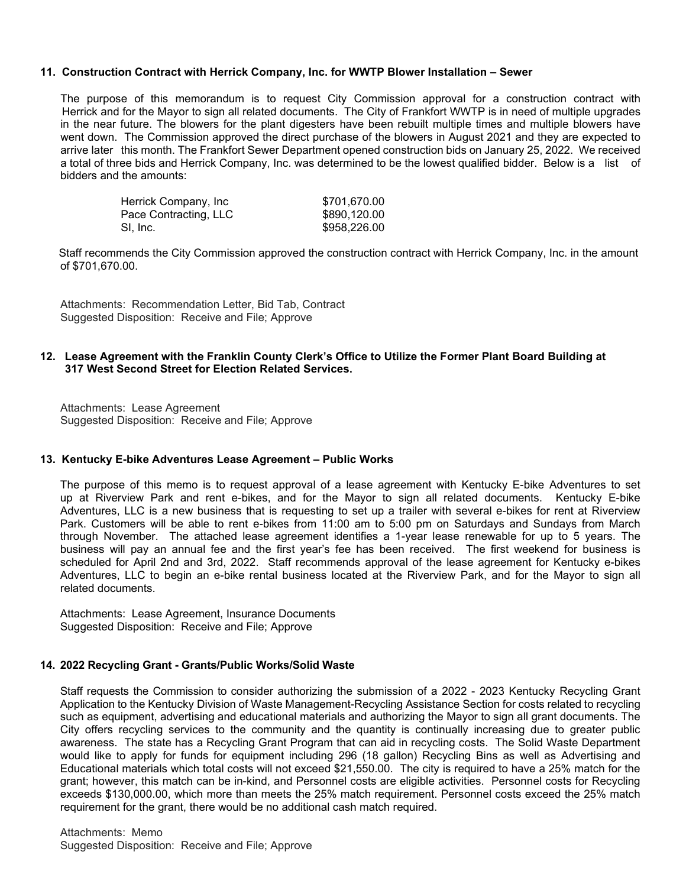## **11. Construction Contract with Herrick Company, Inc. for WWTP Blower Installation – Sewer**

The purpose of this memorandum is to request City Commission approval for a construction contract with Herrick and for the Mayor to sign all related documents. The City of Frankfort WWTP is in need of multiple upgrades in the near future. The blowers for the plant digesters have been rebuilt multiple times and multiple blowers have went down. The Commission approved the direct purchase of the blowers in August 2021 and they are expected to arrive later this month. The Frankfort Sewer Department opened construction bids on January 25, 2022. We received a total of three bids and Herrick Company, Inc. was determined to be the lowest qualified bidder. Below is a list of bidders and the amounts:

| Herrick Company, Inc. | \$701,670.00 |
|-----------------------|--------------|
| Pace Contracting, LLC | \$890,120.00 |
| SI. Inc.              | \$958,226.00 |

 Staff recommends the City Commission approved the construction contract with Herrick Company, Inc. in the amount of \$701,670.00.

Attachments: Recommendation Letter, Bid Tab, Contract Suggested Disposition: Receive and File; Approve

## **12. Lease Agreement with the Franklin County Clerk's Office to Utilize the Former Plant Board Building at 317 West Second Street for Election Related Services.**

Attachments: Lease Agreement Suggested Disposition: Receive and File; Approve

#### **13. Kentucky E-bike Adventures Lease Agreement – Public Works**

The purpose of this memo is to request approval of a lease agreement with Kentucky E-bike Adventures to set up at Riverview Park and rent e-bikes, and for the Mayor to sign all related documents. Kentucky E-bike Adventures, LLC is a new business that is requesting to set up a trailer with several e-bikes for rent at Riverview Park. Customers will be able to rent e-bikes from 11:00 am to 5:00 pm on Saturdays and Sundays from March through November. The attached lease agreement identifies a 1-year lease renewable for up to 5 years. The business will pay an annual fee and the first year's fee has been received. The first weekend for business is scheduled for April 2nd and 3rd, 2022. Staff recommends approval of the lease agreement for Kentucky e-bikes Adventures, LLC to begin an e-bike rental business located at the Riverview Park, and for the Mayor to sign all related documents.

Attachments: Lease Agreement, Insurance Documents Suggested Disposition: Receive and File; Approve

#### **14. 2022 Recycling Grant - Grants/Public Works/Solid Waste**

Staff requests the Commission to consider authorizing the submission of a 2022 - 2023 Kentucky Recycling Grant Application to the Kentucky Division of Waste Management-Recycling Assistance Section for costs related to recycling such as equipment, advertising and educational materials and authorizing the Mayor to sign all grant documents. The City offers recycling services to the community and the quantity is continually increasing due to greater public awareness. The state has a Recycling Grant Program that can aid in recycling costs. The Solid Waste Department would like to apply for funds for equipment including 296 (18 gallon) Recycling Bins as well as Advertising and Educational materials which total costs will not exceed \$21,550.00. The city is required to have a 25% match for the grant; however, this match can be in-kind, and Personnel costs are eligible activities. Personnel costs for Recycling exceeds \$130,000.00, which more than meets the 25% match requirement. Personnel costs exceed the 25% match requirement for the grant, there would be no additional cash match required.

Attachments: Memo Suggested Disposition: Receive and File; Approve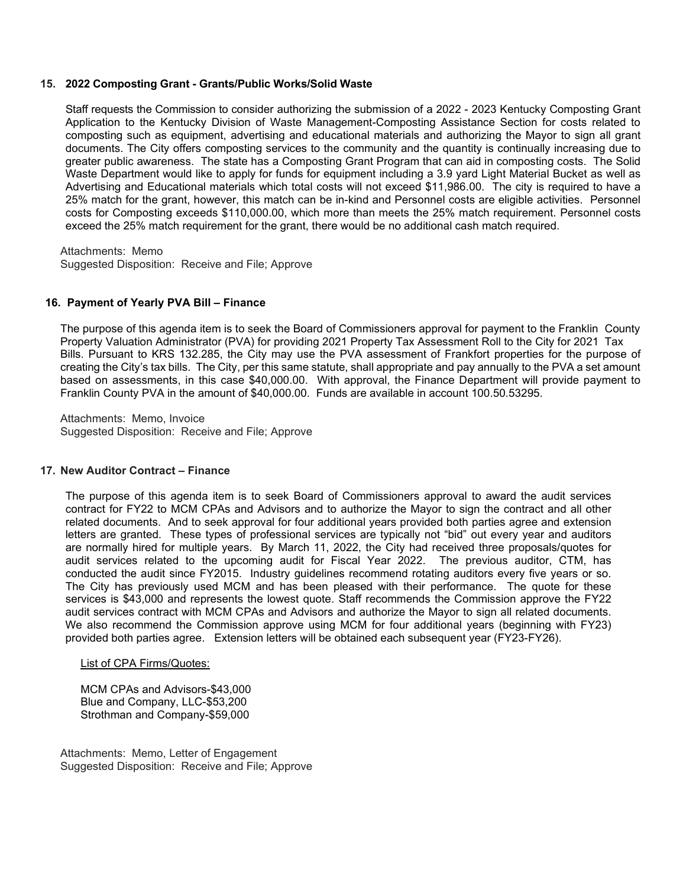## **15. 2022 Composting Grant - Grants/Public Works/Solid Waste**

Staff requests the Commission to consider authorizing the submission of a 2022 - 2023 Kentucky Composting Grant Application to the Kentucky Division of Waste Management-Composting Assistance Section for costs related to composting such as equipment, advertising and educational materials and authorizing the Mayor to sign all grant documents. The City offers composting services to the community and the quantity is continually increasing due to greater public awareness. The state has a Composting Grant Program that can aid in composting costs. The Solid Waste Department would like to apply for funds for equipment including a 3.9 yard Light Material Bucket as well as Advertising and Educational materials which total costs will not exceed \$11,986.00. The city is required to have a 25% match for the grant, however, this match can be in-kind and Personnel costs are eligible activities. Personnel costs for Composting exceeds \$110,000.00, which more than meets the 25% match requirement. Personnel costs exceed the 25% match requirement for the grant, there would be no additional cash match required.

Attachments: Memo Suggested Disposition: Receive and File; Approve

### **16. Payment of Yearly PVA Bill – Finance**

The purpose of this agenda item is to seek the Board of Commissioners approval for payment to the Franklin County Property Valuation Administrator (PVA) for providing 2021 Property Tax Assessment Roll to the City for 2021 Tax Bills. Pursuant to KRS 132.285, the City may use the PVA assessment of Frankfort properties for the purpose of creating the City's tax bills. The City, per this same statute, shall appropriate and pay annually to the PVA a set amount based on assessments, in this case \$40,000.00. With approval, the Finance Department will provide payment to Franklin County PVA in the amount of \$40,000.00. Funds are available in account 100.50.53295.

Attachments: Memo, Invoice Suggested Disposition: Receive and File; Approve

#### **17. New Auditor Contract – Finance**

The purpose of this agenda item is to seek Board of Commissioners approval to award the audit services contract for FY22 to MCM CPAs and Advisors and to authorize the Mayor to sign the contract and all other related documents. And to seek approval for four additional years provided both parties agree and extension letters are granted. These types of professional services are typically not "bid" out every year and auditors are normally hired for multiple years. By March 11, 2022, the City had received three proposals/quotes for audit services related to the upcoming audit for Fiscal Year 2022. The previous auditor, CTM, has conducted the audit since FY2015. Industry guidelines recommend rotating auditors every five years or so. The City has previously used MCM and has been pleased with their performance. The quote for these services is \$43,000 and represents the lowest quote. Staff recommends the Commission approve the FY22 audit services contract with MCM CPAs and Advisors and authorize the Mayor to sign all related documents. We also recommend the Commission approve using MCM for four additional years (beginning with FY23) provided both parties agree. Extension letters will be obtained each subsequent year (FY23-FY26).

#### List of CPA Firms/Quotes:

MCM CPAs and Advisors-\$43,000 Blue and Company, LLC-\$53,200 Strothman and Company-\$59,000

Attachments: Memo, Letter of Engagement Suggested Disposition: Receive and File; Approve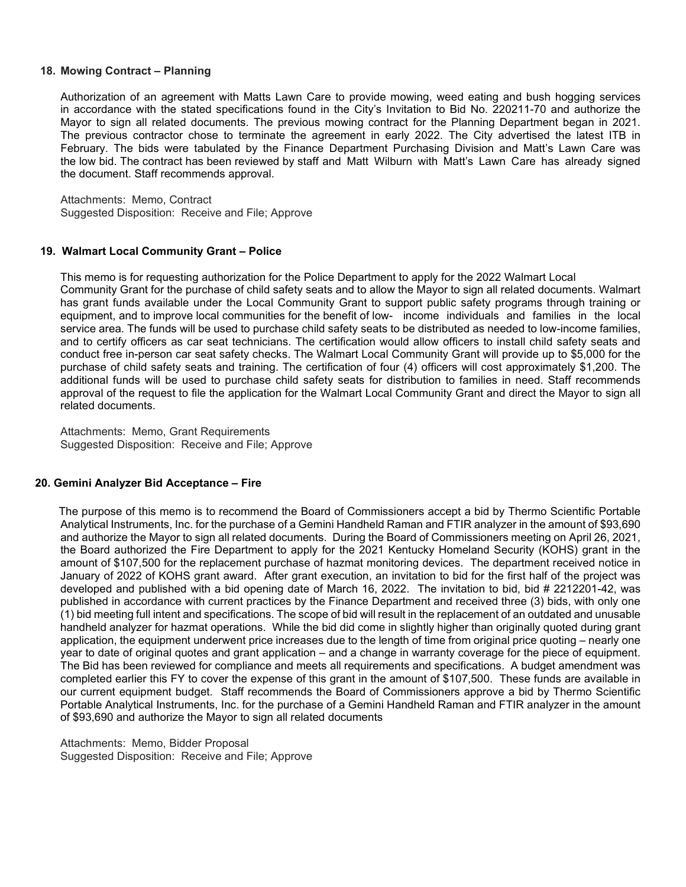## **18. Mowing Contract – Planning**

Authorization of an agreement with Matts Lawn Care to provide mowing, weed eating and bush hogging services in accordance with the stated specifications found in the City's Invitation to Bid No. 220211-70 and authorize the Mayor to sign all related documents. The previous mowing contract for the Planning Department began in 2021. The previous contractor chose to terminate the agreement in early 2022. The City advertised the latest ITB in February. The bids were tabulated by the Finance Department Purchasing Division and Matt's Lawn Care was the low bid. The contract has been reviewed by staff and Matt Wilburn with Matt's Lawn Care has already signed the document. Staff recommends approval.

Attachments: Memo, Contract Suggested Disposition: Receive and File; Approve

#### **19. Walmart Local Community Grant – Police**

This memo is for requesting authorization for the Police Department to apply for the 2022 Walmart Local Community Grant for the purchase of child safety seats and to allow the Mayor to sign all related documents. Walmart has grant funds available under the Local Community Grant to support public safety programs through training or equipment, and to improve local communities for the benefit of low- income individuals and families in the local service area. The funds will be used to purchase child safety seats to be distributed as needed to low-income families, and to certify officers as car seat technicians. The certification would allow officers to install child safety seats and conduct free in-person car seat safety checks. The Walmart Local Community Grant will provide up to \$5,000 for the purchase of child safety seats and training. The certification of four (4) officers will cost approximately \$1,200. The additional funds will be used to purchase child safety seats for distribution to families in need. Staff recommends approval of the request to file the application for the Walmart Local Community Grant and direct the Mayor to sign all related documents.

Attachments: Memo, Grant Requirements Suggested Disposition: Receive and File; Approve

## **20. Gemini Analyzer Bid Acceptance – Fire**

 The purpose of this memo is to recommend the Board of Commissioners accept a bid by Thermo Scientific Portable Analytical Instruments, Inc. for the purchase of a Gemini Handheld Raman and FTIR analyzer in the amount of \$93,690 and authorize the Mayor to sign all related documents. During the Board of Commissioners meeting on April 26, 2021, the Board authorized the Fire Department to apply for the 2021 Kentucky Homeland Security (KOHS) grant in the amount of \$107,500 for the replacement purchase of hazmat monitoring devices. The department received notice in January of 2022 of KOHS grant award. After grant execution, an invitation to bid for the first half of the project was developed and published with a bid opening date of March 16, 2022. The invitation to bid, bid # 2212201-42, was published in accordance with current practices by the Finance Department and received three (3) bids, with only one (1) bid meeting full intent and specifications. The scope of bid will result in the replacement of an outdated and unusable handheld analyzer for hazmat operations. While the bid did come in slightly higher than originally quoted during grant application, the equipment underwent price increases due to the length of time from original price quoting – nearly one year to date of original quotes and grant application – and a change in warranty coverage for the piece of equipment. The Bid has been reviewed for compliance and meets all requirements and specifications. A budget amendment was completed earlier this FY to cover the expense of this grant in the amount of \$107,500. These funds are available in our current equipment budget. Staff recommends the Board of Commissioners approve a bid by Thermo Scientific Portable Analytical Instruments, Inc. for the purchase of a Gemini Handheld Raman and FTIR analyzer in the amount of \$93,690 and authorize the Mayor to sign all related documents

Attachments: Memo, Bidder Proposal Suggested Disposition: Receive and File; Approve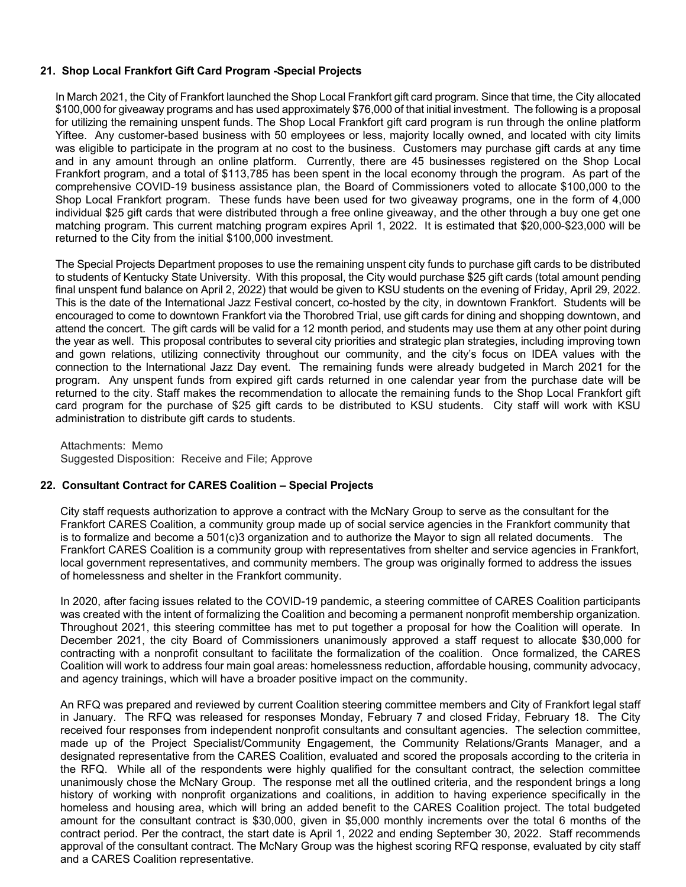# **21. Shop Local Frankfort Gift Card Program -Special Projects**

In March 2021, the City of Frankfort launched the Shop Local Frankfort gift card program. Since that time, the City allocated \$100,000 for giveaway programs and has used approximately \$76,000 of that initial investment. The following is a proposal for utilizing the remaining unspent funds. The Shop Local Frankfort gift card program is run through the online platform Yiftee. Any customer-based business with 50 employees or less, majority locally owned, and located with city limits was eligible to participate in the program at no cost to the business. Customers may purchase gift cards at any time and in any amount through an online platform. Currently, there are 45 businesses registered on the Shop Local Frankfort program, and a total of \$113,785 has been spent in the local economy through the program. As part of the comprehensive COVID-19 business assistance plan, the Board of Commissioners voted to allocate \$100,000 to the Shop Local Frankfort program. These funds have been used for two giveaway programs, one in the form of 4,000 individual \$25 gift cards that were distributed through a free online giveaway, and the other through a buy one get one matching program. This current matching program expires April 1, 2022. It is estimated that \$20,000-\$23,000 will be returned to the City from the initial \$100,000 investment.

The Special Projects Department proposes to use the remaining unspent city funds to purchase gift cards to be distributed to students of Kentucky State University. With this proposal, the City would purchase \$25 gift cards (total amount pending final unspent fund balance on April 2, 2022) that would be given to KSU students on the evening of Friday, April 29, 2022. This is the date of the International Jazz Festival concert, co-hosted by the city, in downtown Frankfort. Students will be encouraged to come to downtown Frankfort via the Thorobred Trial, use gift cards for dining and shopping downtown, and attend the concert. The gift cards will be valid for a 12 month period, and students may use them at any other point during the year as well. This proposal contributes to several city priorities and strategic plan strategies, including improving town and gown relations, utilizing connectivity throughout our community, and the city's focus on IDEA values with the connection to the International Jazz Day event. The remaining funds were already budgeted in March 2021 for the program. Any unspent funds from expired gift cards returned in one calendar year from the purchase date will be returned to the city. Staff makes the recommendation to allocate the remaining funds to the Shop Local Frankfort gift card program for the purchase of \$25 gift cards to be distributed to KSU students. City staff will work with KSU administration to distribute gift cards to students.

Attachments: Memo Suggested Disposition: Receive and File; Approve

## **22. Consultant Contract for CARES Coalition – Special Projects**

City staff requests authorization to approve a contract with the McNary Group to serve as the consultant for the Frankfort CARES Coalition, a community group made up of social service agencies in the Frankfort community that is to formalize and become a 501(c)3 organization and to authorize the Mayor to sign all related documents. The Frankfort CARES Coalition is a community group with representatives from shelter and service agencies in Frankfort, local government representatives, and community members. The group was originally formed to address the issues of homelessness and shelter in the Frankfort community.

In 2020, after facing issues related to the COVID-19 pandemic, a steering committee of CARES Coalition participants was created with the intent of formalizing the Coalition and becoming a permanent nonprofit membership organization. Throughout 2021, this steering committee has met to put together a proposal for how the Coalition will operate. In December 2021, the city Board of Commissioners unanimously approved a staff request to allocate \$30,000 for contracting with a nonprofit consultant to facilitate the formalization of the coalition. Once formalized, the CARES Coalition will work to address four main goal areas: homelessness reduction, affordable housing, community advocacy, and agency trainings, which will have a broader positive impact on the community.

An RFQ was prepared and reviewed by current Coalition steering committee members and City of Frankfort legal staff in January. The RFQ was released for responses Monday, February 7 and closed Friday, February 18. The City received four responses from independent nonprofit consultants and consultant agencies. The selection committee, made up of the Project Specialist/Community Engagement, the Community Relations/Grants Manager, and a designated representative from the CARES Coalition, evaluated and scored the proposals according to the criteria in the RFQ. While all of the respondents were highly qualified for the consultant contract, the selection committee unanimously chose the McNary Group. The response met all the outlined criteria, and the respondent brings a long history of working with nonprofit organizations and coalitions, in addition to having experience specifically in the homeless and housing area, which will bring an added benefit to the CARES Coalition project. The total budgeted amount for the consultant contract is \$30,000, given in \$5,000 monthly increments over the total 6 months of the contract period. Per the contract, the start date is April 1, 2022 and ending September 30, 2022. Staff recommends approval of the consultant contract. The McNary Group was the highest scoring RFQ response, evaluated by city staff and a CARES Coalition representative.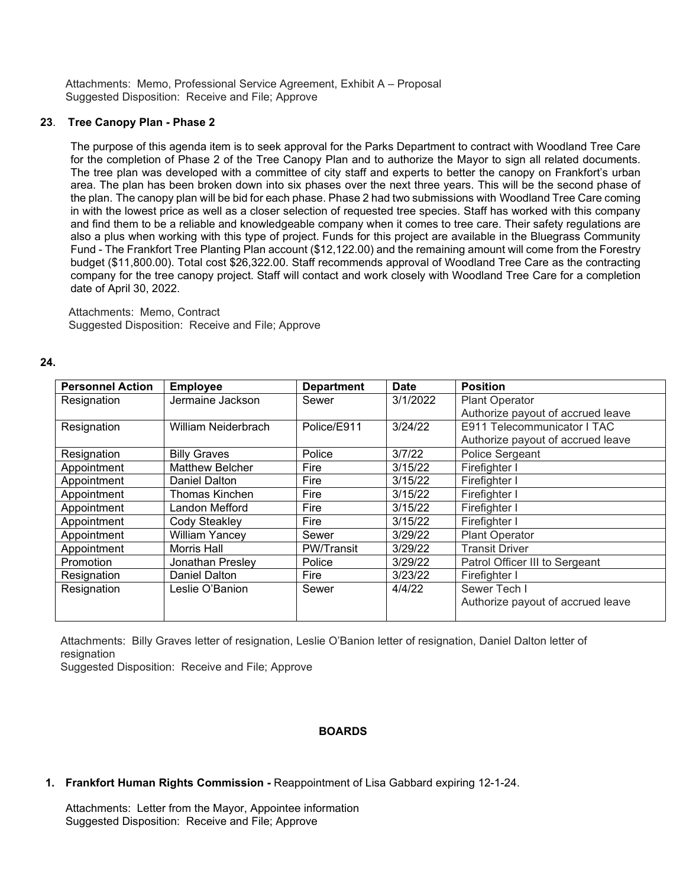Attachments: Memo, Professional Service Agreement, Exhibit A – Proposal Suggested Disposition: Receive and File; Approve

## **23**. **Tree Canopy Plan - Phase 2**

The purpose of this agenda item is to seek approval for the Parks Department to contract with Woodland Tree Care for the completion of Phase 2 of the Tree Canopy Plan and to authorize the Mayor to sign all related documents. The tree plan was developed with a committee of city staff and experts to better the canopy on Frankfort's urban area. The plan has been broken down into six phases over the next three years. This will be the second phase of the plan. The canopy plan will be bid for each phase. Phase 2 had two submissions with Woodland Tree Care coming in with the lowest price as well as a closer selection of requested tree species. Staff has worked with this company and find them to be a reliable and knowledgeable company when it comes to tree care. Their safety regulations are also a plus when working with this type of project. Funds for this project are available in the Bluegrass Community Fund - The Frankfort Tree Planting Plan account (\$12,122.00) and the remaining amount will come from the Forestry budget (\$11,800.00). Total cost \$26,322.00. Staff recommends approval of Woodland Tree Care as the contracting company for the tree canopy project. Staff will contact and work closely with Woodland Tree Care for a completion date of April 30, 2022.

Attachments: Memo, Contract Suggested Disposition: Receive and File; Approve

## **24.**

| <b>Personnel Action</b> | <b>Employee</b>        | <b>Department</b> | <b>Date</b> | <b>Position</b>                   |  |
|-------------------------|------------------------|-------------------|-------------|-----------------------------------|--|
| Resignation             | Jermaine Jackson       | Sewer             | 3/1/2022    | <b>Plant Operator</b>             |  |
|                         |                        |                   |             | Authorize payout of accrued leave |  |
| Resignation             | William Neiderbrach    | Police/E911       | 3/24/22     | E911 Telecommunicator I TAC       |  |
|                         |                        |                   |             | Authorize payout of accrued leave |  |
| Resignation             | <b>Billy Graves</b>    | Police            | 3/7/22      | Police Sergeant                   |  |
| Appointment             | <b>Matthew Belcher</b> | Fire              | 3/15/22     | Firefighter I                     |  |
| Appointment             | Daniel Dalton          | Fire              | 3/15/22     | Firefighter I                     |  |
| Appointment             | <b>Thomas Kinchen</b>  | Fire              | 3/15/22     | Firefighter I                     |  |
| Appointment             | Landon Mefford         | Fire              | 3/15/22     | Firefighter I                     |  |
| Appointment             | Cody Steakley          | Fire              | 3/15/22     | Firefighter I                     |  |
| Appointment             | <b>William Yancey</b>  | Sewer             | 3/29/22     | <b>Plant Operator</b>             |  |
| Appointment             | Morris Hall            | <b>PW/Transit</b> | 3/29/22     | <b>Transit Driver</b>             |  |
| Promotion               | Jonathan Presley       | Police            | 3/29/22     | Patrol Officer III to Sergeant    |  |
| Resignation             | Daniel Dalton          | Fire              | 3/23/22     | Firefighter I                     |  |
| Resignation             | Leslie O'Banion        | Sewer             | 4/4/22      | Sewer Tech I                      |  |
|                         |                        |                   |             | Authorize payout of accrued leave |  |
|                         |                        |                   |             |                                   |  |

Attachments: Billy Graves letter of resignation, Leslie O'Banion letter of resignation, Daniel Dalton letter of resignation

Suggested Disposition: Receive and File; Approve

## **BOARDS**

**1. Frankfort Human Rights Commission -** Reappointment of Lisa Gabbard expiring 12-1-24.

Attachments: Letter from the Mayor, Appointee information Suggested Disposition: Receive and File; Approve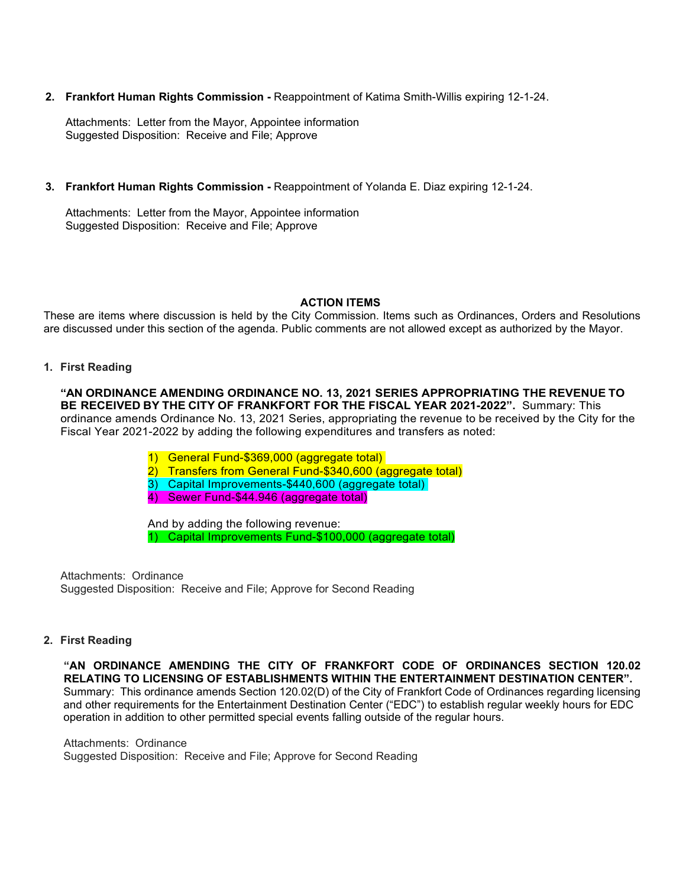**2. Frankfort Human Rights Commission -** Reappointment of Katima Smith-Willis expiring 12-1-24.

Attachments: Letter from the Mayor, Appointee information Suggested Disposition: Receive and File; Approve

**3. Frankfort Human Rights Commission -** Reappointment of Yolanda E. Diaz expiring 12-1-24.

Attachments: Letter from the Mayor, Appointee information Suggested Disposition: Receive and File; Approve

# **ACTION ITEMS**

These are items where discussion is held by the City Commission. Items such as Ordinances, Orders and Resolutions are discussed under this section of the agenda. Public comments are not allowed except as authorized by the Mayor.

# **1. First Reading**

**"AN ORDINANCE AMENDING ORDINANCE NO. 13, 2021 SERIES APPROPRIATING THE REVENUE TO BE RECEIVED BY THE CITY OF FRANKFORT FOR THE FISCAL YEAR 2021-2022".** Summary: This ordinance amends Ordinance No. 13, 2021 Series, appropriating the revenue to be received by the City for the Fiscal Year 2021-2022 by adding the following expenditures and transfers as noted:

- 1) General Fund-\$369,000 (aggregate total)
- 2) Transfers from General Fund-\$340,600 (aggregate total)
- 3) Capital Improvements-\$440,600 (aggregate total)
- 4) Sewer Fund-\$44.946 (aggregate total)

And by adding the following revenue: 1) Capital Improvements Fund-\$100,000 (aggregate total)

Attachments: Ordinance Suggested Disposition: Receive and File; Approve for Second Reading

# **2. First Reading**

 **"AN ORDINANCE AMENDING THE CITY OF FRANKFORT CODE OF ORDINANCES SECTION 120.02 RELATING TO LICENSING OF ESTABLISHMENTS WITHIN THE ENTERTAINMENT DESTINATION CENTER".**  Summary: This ordinance amends Section 120.02(D) of the City of Frankfort Code of Ordinances regarding licensing and other requirements for the Entertainment Destination Center ("EDC") to establish regular weekly hours for EDC operation in addition to other permitted special events falling outside of the regular hours.

 Attachments: Ordinance Suggested Disposition: Receive and File; Approve for Second Reading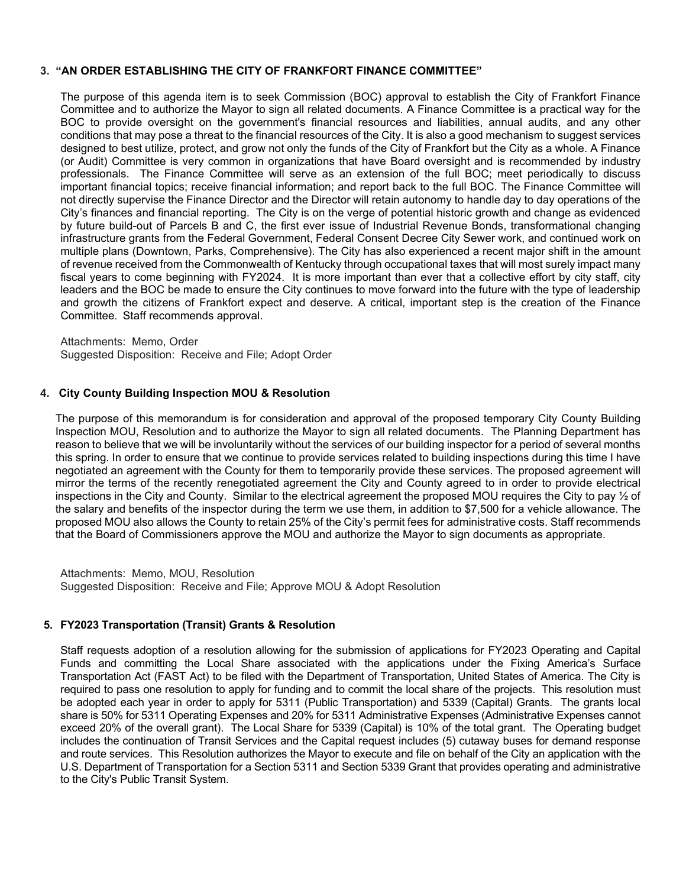# **3. "AN ORDER ESTABLISHING THE CITY OF FRANKFORT FINANCE COMMITTEE"**

The purpose of this agenda item is to seek Commission (BOC) approval to establish the City of Frankfort Finance Committee and to authorize the Mayor to sign all related documents. A Finance Committee is a practical way for the BOC to provide oversight on the government's financial resources and liabilities, annual audits, and any other conditions that may pose a threat to the financial resources of the City. It is also a good mechanism to suggest services designed to best utilize, protect, and grow not only the funds of the City of Frankfort but the City as a whole. A Finance (or Audit) Committee is very common in organizations that have Board oversight and is recommended by industry professionals. The Finance Committee will serve as an extension of the full BOC; meet periodically to discuss important financial topics; receive financial information; and report back to the full BOC. The Finance Committee will not directly supervise the Finance Director and the Director will retain autonomy to handle day to day operations of the City's finances and financial reporting. The City is on the verge of potential historic growth and change as evidenced by future build-out of Parcels B and C, the first ever issue of Industrial Revenue Bonds, transformational changing infrastructure grants from the Federal Government, Federal Consent Decree City Sewer work, and continued work on multiple plans (Downtown, Parks, Comprehensive). The City has also experienced a recent major shift in the amount of revenue received from the Commonwealth of Kentucky through occupational taxes that will most surely impact many fiscal years to come beginning with FY2024. It is more important than ever that a collective effort by city staff, city leaders and the BOC be made to ensure the City continues to move forward into the future with the type of leadership and growth the citizens of Frankfort expect and deserve. A critical, important step is the creation of the Finance Committee. Staff recommends approval.

Attachments: Memo, Order Suggested Disposition: Receive and File; Adopt Order

## **4. City County Building Inspection MOU & Resolution**

The purpose of this memorandum is for consideration and approval of the proposed temporary City County Building Inspection MOU, Resolution and to authorize the Mayor to sign all related documents. The Planning Department has reason to believe that we will be involuntarily without the services of our building inspector for a period of several months this spring. In order to ensure that we continue to provide services related to building inspections during this time I have negotiated an agreement with the County for them to temporarily provide these services. The proposed agreement will mirror the terms of the recently renegotiated agreement the City and County agreed to in order to provide electrical inspections in the City and County. Similar to the electrical agreement the proposed MOU requires the City to pay ½ of the salary and benefits of the inspector during the term we use them, in addition to \$7,500 for a vehicle allowance. The proposed MOU also allows the County to retain 25% of the City's permit fees for administrative costs. Staff recommends that the Board of Commissioners approve the MOU and authorize the Mayor to sign documents as appropriate.

Attachments: Memo, MOU, Resolution Suggested Disposition: Receive and File; Approve MOU & Adopt Resolution

## **5. FY2023 Transportation (Transit) Grants & Resolution**

Staff requests adoption of a resolution allowing for the submission of applications for FY2023 Operating and Capital Funds and committing the Local Share associated with the applications under the Fixing America's Surface Transportation Act (FAST Act) to be filed with the Department of Transportation, United States of America. The City is required to pass one resolution to apply for funding and to commit the local share of the projects. This resolution must be adopted each year in order to apply for 5311 (Public Transportation) and 5339 (Capital) Grants. The grants local share is 50% for 5311 Operating Expenses and 20% for 5311 Administrative Expenses (Administrative Expenses cannot exceed 20% of the overall grant). The Local Share for 5339 (Capital) is 10% of the total grant. The Operating budget includes the continuation of Transit Services and the Capital request includes (5) cutaway buses for demand response and route services. This Resolution authorizes the Mayor to execute and file on behalf of the City an application with the U.S. Department of Transportation for a Section 5311 and Section 5339 Grant that provides operating and administrative to the City's Public Transit System.